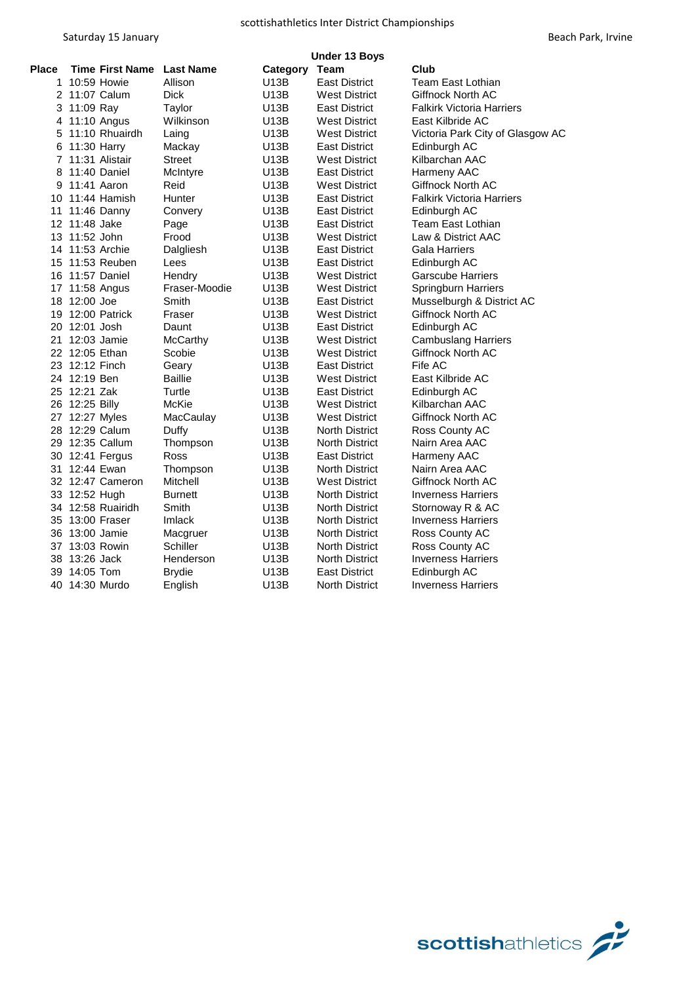|              | <b>Under 13 Boys</b>   |                  |             |                       |                                  |  |
|--------------|------------------------|------------------|-------------|-----------------------|----------------------------------|--|
| <b>Place</b> | <b>Time First Name</b> | <b>Last Name</b> | Category    | Team                  | Club                             |  |
| 1            | 10:59 Howie            | Allison          | U13B        | <b>East District</b>  | Team East Lothian                |  |
|              | 2 11:07 Calum          | Dick             | <b>U13B</b> | <b>West District</b>  | Giffnock North AC                |  |
| 3            | 11:09 Ray              | Taylor           | U13B        | <b>East District</b>  | <b>Falkirk Victoria Harriers</b> |  |
|              | 4 11:10 Angus          | Wilkinson        | U13B        | <b>West District</b>  | East Kilbride AC                 |  |
| 5            | 11:10 Rhuairdh         | Laing            | U13B        | <b>West District</b>  | Victoria Park City of Glasgow AC |  |
| 6            | 11:30 Harry            | Mackay           | U13B        | <b>East District</b>  | Edinburgh AC                     |  |
| 7            | 11:31 Alistair         | Street           | U13B        | <b>West District</b>  | Kilbarchan AAC                   |  |
| 8            | 11:40 Daniel           | McIntyre         | U13B        | <b>East District</b>  | Harmeny AAC                      |  |
| 9            | 11:41 Aaron            | Reid             | U13B        | <b>West District</b>  | Giffnock North AC                |  |
|              | 10 11:44 Hamish        | Hunter           | U13B        | <b>East District</b>  | <b>Falkirk Victoria Harriers</b> |  |
| 11           | 11:46 Danny            | Convery          | U13B        | <b>East District</b>  | Edinburgh AC                     |  |
|              | 12 11:48 Jake          | Page             | U13B        | <b>East District</b>  | Team East Lothian                |  |
|              | 13 11:52 John          | Frood            | U13B        | <b>West District</b>  | Law & District AAC               |  |
|              | 14 11:53 Archie        | Dalgliesh        | U13B        | <b>East District</b>  | <b>Gala Harriers</b>             |  |
| 15           | 11:53 Reuben           | Lees             | U13B        | <b>East District</b>  | Edinburgh AC                     |  |
|              | 16 11:57 Daniel        | Hendry           | <b>U13B</b> | <b>West District</b>  | <b>Garscube Harriers</b>         |  |
|              | 17 11:58 Angus         | Fraser-Moodie    | <b>U13B</b> | <b>West District</b>  | Springburn Harriers              |  |
|              | 18 12:00 Joe           | Smith            | <b>U13B</b> | <b>East District</b>  | Musselburgh & District AC        |  |
|              | 19 12:00 Patrick       | Fraser           | U13B        | <b>West District</b>  | Giffnock North AC                |  |
|              | 20 12:01 Josh          | Daunt            | U13B        | <b>East District</b>  | Edinburgh AC                     |  |
| 21           | 12:03 Jamie            | McCarthy         | U13B        | <b>West District</b>  | <b>Cambuslang Harriers</b>       |  |
|              | 22 12:05 Ethan         | Scobie           | U13B        | <b>West District</b>  | Giffnock North AC                |  |
|              | 23 12:12 Finch         | Geary            | U13B        | <b>East District</b>  | Fife AC                          |  |
|              | 24 12:19 Ben           | <b>Baillie</b>   | U13B        | <b>West District</b>  | East Kilbride AC                 |  |
|              | 25 12:21 Zak           | Turtle           | <b>U13B</b> | <b>East District</b>  | Edinburgh AC                     |  |
|              | 26 12:25 Billy         | McKie            | <b>U13B</b> | <b>West District</b>  | Kilbarchan AAC                   |  |
|              | 27 12:27 Myles         | MacCaulay        | <b>U13B</b> | <b>West District</b>  | Giffnock North AC                |  |
|              | 28 12:29 Calum         | Duffy            | <b>U13B</b> | <b>North District</b> | Ross County AC                   |  |
|              | 29 12:35 Callum        | Thompson         | U13B        | <b>North District</b> | Nairn Area AAC                   |  |
|              | 30 12:41 Fergus        | Ross             | <b>U13B</b> | <b>East District</b>  | Harmeny AAC                      |  |
|              | 31 12:44 Ewan          | Thompson         | <b>U13B</b> | <b>North District</b> | Nairn Area AAC                   |  |
|              | 32 12:47 Cameron       | Mitchell         | U13B        | <b>West District</b>  | Giffnock North AC                |  |
|              | 33 12:52 Hugh          | <b>Burnett</b>   | <b>U13B</b> | <b>North District</b> | <b>Inverness Harriers</b>        |  |
|              | 34 12:58 Ruairidh      | Smith            | <b>U13B</b> | <b>North District</b> | Stornoway R & AC                 |  |
|              | 35 13:00 Fraser        | Imlack           | <b>U13B</b> | <b>North District</b> | <b>Inverness Harriers</b>        |  |
|              | 36 13:00 Jamie         | Macgruer         | U13B        | <b>North District</b> | Ross County AC                   |  |
|              | 37 13:03 Rowin         | Schiller         | U13B        | <b>North District</b> | Ross County AC                   |  |
| 38           | 13:26 Jack             | Henderson        | U13B        | <b>North District</b> | <b>Inverness Harriers</b>        |  |
| 39           | 14:05 Tom              | <b>Brydie</b>    | U13B        | <b>East District</b>  | Edinburgh AC                     |  |
|              | 40 14:30 Murdo         | English          | U13B        | <b>North District</b> | <b>Inverness Harriers</b>        |  |
|              |                        |                  |             |                       |                                  |  |

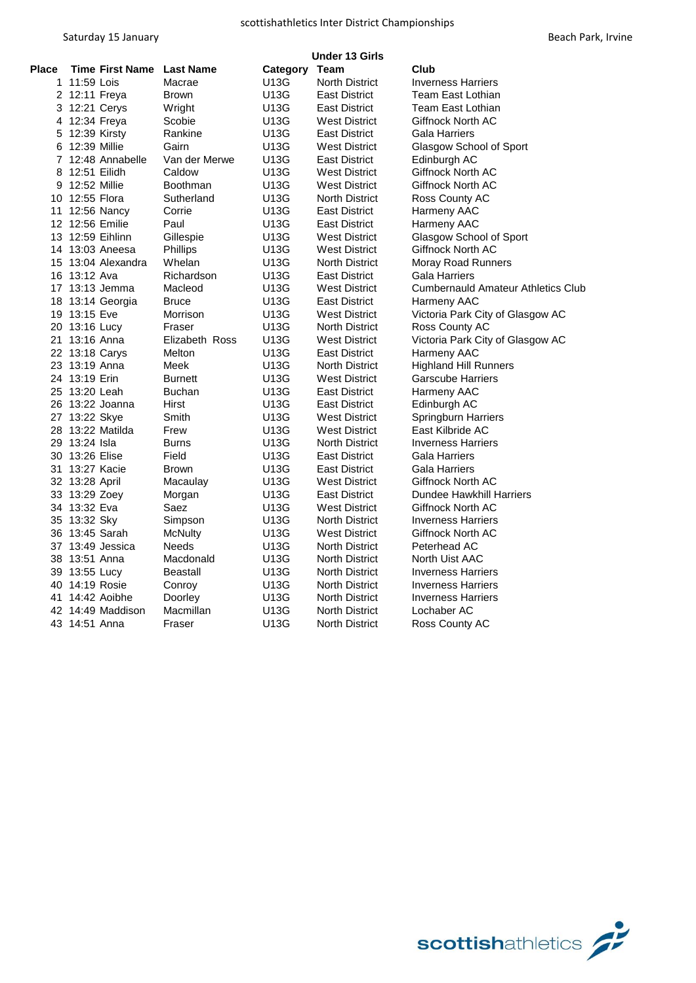| Beach Park, Irvine |  |  |
|--------------------|--|--|
|--------------------|--|--|

|       | <b>Under 13 Girls</b> |                        |                  |               |                       |                                           |  |
|-------|-----------------------|------------------------|------------------|---------------|-----------------------|-------------------------------------------|--|
| Place |                       | <b>Time First Name</b> | <b>Last Name</b> | Category Team |                       | Club                                      |  |
|       | 1 11:59 Lois          |                        | Macrae           | U13G          | <b>North District</b> | <b>Inverness Harriers</b>                 |  |
|       | 2 12:11 Freya         |                        | Brown            | U13G          | <b>East District</b>  | Team East Lothian                         |  |
|       | 3 12:21 Cerys         |                        | Wright           | U13G          | East District         | Team East Lothian                         |  |
|       | 4 12:34 Freya         |                        | Scobie           | U13G          | West District         | Giffnock North AC                         |  |
| 5     | 12:39 Kirsty          |                        | Rankine          | U13G          | <b>East District</b>  | Gala Harriers                             |  |
| 6     | 12:39 Millie          |                        | Gairn            | U13G          | <b>West District</b>  | Glasgow School of Sport                   |  |
|       |                       | 7 12:48 Annabelle      | Van der Merwe    | U13G          | <b>East District</b>  | Edinburgh AC                              |  |
| 8     | 12:51 Eilidh          |                        | Caldow           | U13G          | West District         | Giffnock North AC                         |  |
|       | 9 12:52 Millie        |                        | <b>Boothman</b>  | U13G          | <b>West District</b>  | Giffnock North AC                         |  |
|       | 10 12:55 Flora        |                        | Sutherland       | U13G          | North District        | Ross County AC                            |  |
|       | 11 12:56 Nancy        |                        | Corrie           | U13G          | <b>East District</b>  | Harmeny AAC                               |  |
|       | 12 12:56 Emilie       |                        | Paul             | U13G          | East District         | Harmeny AAC                               |  |
|       | 13 12:59 Eihlinn      |                        | Gillespie        | U13G          | West District         | Glasgow School of Sport                   |  |
|       |                       | 14 13:03 Aneesa        | <b>Phillips</b>  | U13G          | West District         | Giffnock North AC                         |  |
|       |                       | 15 13:04 Alexandra     | Whelan           | U13G          | North District        | Moray Road Runners                        |  |
|       | 16 13:12 Ava          |                        | Richardson       | U13G          | East District         | Gala Harriers                             |  |
|       |                       | 17 13:13 Jemma         | Macleod          | U13G          | West District         | <b>Cumbernauld Amateur Athletics Club</b> |  |
|       |                       | 18 13:14 Georgia       | <b>Bruce</b>     | U13G          | <b>East District</b>  | Harmeny AAC                               |  |
|       | 19 13:15 Eve          |                        | Morrison         | U13G          | West District         | Victoria Park City of Glasgow AC          |  |
|       | 20 13:16 Lucy         |                        | Fraser           | U13G          | <b>North District</b> | Ross County AC                            |  |
|       | 21 13:16 Anna         |                        | Elizabeth Ross   | U13G          | West District         | Victoria Park City of Glasgow AC          |  |
|       | 22 13:18 Carys        |                        | Melton           | U13G          | East District         | Harmeny AAC                               |  |
|       | 23 13:19 Anna         |                        | Meek             | U13G          | <b>North District</b> | <b>Highland Hill Runners</b>              |  |
|       | 24 13:19 Erin         |                        | <b>Burnett</b>   | U13G          | West District         | Garscube Harriers                         |  |
|       | 25 13:20 Leah         |                        | <b>Buchan</b>    | U13G          | <b>East District</b>  | Harmeny AAC                               |  |
|       |                       | 26 13:22 Joanna        | Hirst            | U13G          | <b>East District</b>  | Edinburgh AC                              |  |
|       | 27 13:22 Skye         |                        | Smith            | U13G          | West District         | Springburn Harriers                       |  |
|       |                       | 28 13:22 Matilda       | Frew             | U13G          | <b>West District</b>  | East Kilbride AC                          |  |
|       | 29 13:24 Isla         |                        | Burns            | U13G          | North District        | <b>Inverness Harriers</b>                 |  |
|       | 30 13:26 Elise        |                        | Field            | U13G          | <b>East District</b>  | Gala Harriers                             |  |
|       | 31 13:27 Kacie        |                        | <b>Brown</b>     | U13G          | East District         | Gala Harriers                             |  |
|       | 32 13:28 April        |                        | Macaulay         | U13G          | <b>West District</b>  | Giffnock North AC                         |  |
|       | 33 13:29 Zoey         |                        | Morgan           | U13G          | East District         | Dundee Hawkhill Harriers                  |  |
|       | 34 13:32 Eva          |                        | Saez             | U13G          | <b>West District</b>  | Giffnock North AC                         |  |
|       | 35 13:32 Sky          |                        | Simpson          | U13G          | <b>North District</b> | <b>Inverness Harriers</b>                 |  |
|       | 36 13:45 Sarah        |                        | <b>McNulty</b>   | U13G          | West District         | Giffnock North AC                         |  |
|       |                       | 37 13:49 Jessica       | Needs            | U13G          | <b>North District</b> | Peterhead AC                              |  |
|       | 38 13:51 Anna         |                        | Macdonald        | U13G          | <b>North District</b> | North Uist AAC                            |  |
|       | 39 13:55 Lucy         |                        | <b>Beastall</b>  | U13G          | <b>North District</b> | <b>Inverness Harriers</b>                 |  |
|       | 40 14:19 Rosie        |                        | Conroy           | U13G          | <b>North District</b> | <b>Inverness Harriers</b>                 |  |
|       | 41 14:42 Aoibhe       |                        | Doorley          | U13G          | <b>North District</b> | <b>Inverness Harriers</b>                 |  |
|       |                       | 42 14:49 Maddison      | Macmillan        | U13G          | <b>North District</b> | Lochaber AC                               |  |
|       | 43 14:51 Anna         |                        | Fraser           | U13G          | North District        | Ross County AC                            |  |

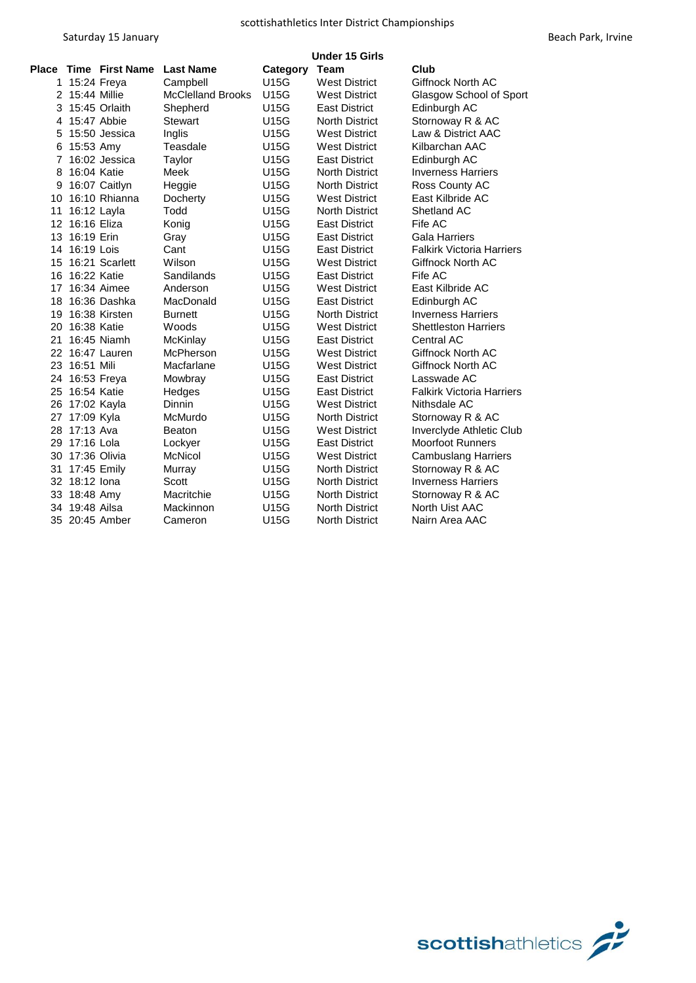|    |                |                       |                          |             | <b>Under 15 Girls</b> |                                  |
|----|----------------|-----------------------|--------------------------|-------------|-----------------------|----------------------------------|
|    |                | Place Time First Name | <b>Last Name</b>         | Category    | Team                  | Club                             |
|    | 1 15:24 Freya  |                       | Campbell                 | U15G        | <b>West District</b>  | <b>Giffnock North AC</b>         |
|    | 2 15:44 Millie |                       | <b>McClelland Brooks</b> | <b>U15G</b> | <b>West District</b>  | Glasgow School of Sport          |
| 3  |                | 15:45 Orlaith         | Shepherd                 | U15G        | East District         | Edinburgh AC                     |
| 4  | 15:47 Abbie    |                       | <b>Stewart</b>           | U15G        | <b>North District</b> | Stornoway R & AC                 |
| 5  |                | 15:50 Jessica         | Inglis                   | U15G        | <b>West District</b>  | Law & District AAC               |
| 6  | 15:53 Amy      |                       | Teasdale                 | U15G        | <b>West District</b>  | Kilbarchan AAC                   |
| 7  |                | 16:02 Jessica         | Taylor                   | U15G        | <b>East District</b>  | Edinburgh AC                     |
| 8  | 16:04 Katie    |                       | Meek                     | U15G        | <b>North District</b> | <b>Inverness Harriers</b>        |
| 9  |                | 16:07 Caitlyn         | Heggie                   | U15G        | <b>North District</b> | Ross County AC                   |
| 10 |                | 16:10 Rhianna         | Docherty                 | U15G        | <b>West District</b>  | East Kilbride AC                 |
| 11 | 16:12 Layla    |                       | Todd                     | U15G        | <b>North District</b> | Shetland AC                      |
| 12 | 16:16 Eliza    |                       | Konig                    | U15G        | <b>East District</b>  | Fife AC                          |
| 13 | 16:19 Erin     |                       | Gray                     | U15G        | <b>East District</b>  | Gala Harriers                    |
| 14 | 16:19 Lois     |                       | Cant                     | U15G        | <b>East District</b>  | <b>Falkirk Victoria Harriers</b> |
| 15 |                | 16:21 Scarlett        | Wilson                   | U15G        | <b>West District</b>  | Giffnock North AC                |
| 16 | 16:22 Katie    |                       | Sandilands               | U15G        | <b>East District</b>  | Fife AC                          |
| 17 |                | 16:34 Aimee           | Anderson                 | U15G        | <b>West District</b>  | East Kilbride AC                 |
| 18 |                | 16:36 Dashka          | MacDonald                | U15G        | <b>East District</b>  | Edinburgh AC                     |
| 19 |                | 16:38 Kirsten         | <b>Burnett</b>           | U15G        | <b>North District</b> | <b>Inverness Harriers</b>        |
| 20 | 16:38 Katie    |                       | Woods                    | U15G        | <b>West District</b>  | <b>Shettleston Harriers</b>      |
| 21 |                | 16:45 Niamh           | McKinlay                 | U15G        | <b>East District</b>  | <b>Central AC</b>                |
| 22 |                | 16:47 Lauren          | McPherson                | U15G        | <b>West District</b>  | Giffnock North AC                |
|    | 23 16:51 Mili  |                       | Macfarlane               | U15G        | <b>West District</b>  | Giffnock North AC                |
| 24 | 16:53 Freya    |                       | Mowbray                  | U15G        | <b>East District</b>  | Lasswade AC                      |
| 25 | 16:54 Katie    |                       | Hedges                   | U15G        | <b>East District</b>  | <b>Falkirk Victoria Harriers</b> |
| 26 | 17:02 Kayla    |                       | Dinnin                   | U15G        | <b>West District</b>  | Nithsdale AC                     |
| 27 | 17:09 Kyla     |                       | McMurdo                  | U15G        | <b>North District</b> | Stornoway R & AC                 |
| 28 | 17:13 Ava      |                       | Beaton                   | U15G        | <b>West District</b>  | Inverclyde Athletic Club         |
| 29 | 17:16 Lola     |                       | Lockyer                  | U15G        | <b>East District</b>  | <b>Moorfoot Runners</b>          |
| 30 | 17:36 Olivia   |                       | <b>McNicol</b>           | U15G        | <b>West District</b>  | <b>Cambuslang Harriers</b>       |
| 31 | 17:45 Emily    |                       | Murray                   | U15G        | <b>North District</b> | Stornoway R & AC                 |
|    | 32 18:12 lona  |                       | Scott                    | U15G        | <b>North District</b> | Inverness Harriers               |
|    | 33 18:48 Amy   |                       | Macritchie               | U15G        | <b>North District</b> | Stornoway R & AC                 |
|    | 34 19:48 Ailsa |                       | Mackinnon                | U15G        | <b>North District</b> | North Uist AAC                   |
|    |                | 35 20:45 Amber        | Cameron                  | U15G        | <b>North District</b> | Nairn Area AAC                   |

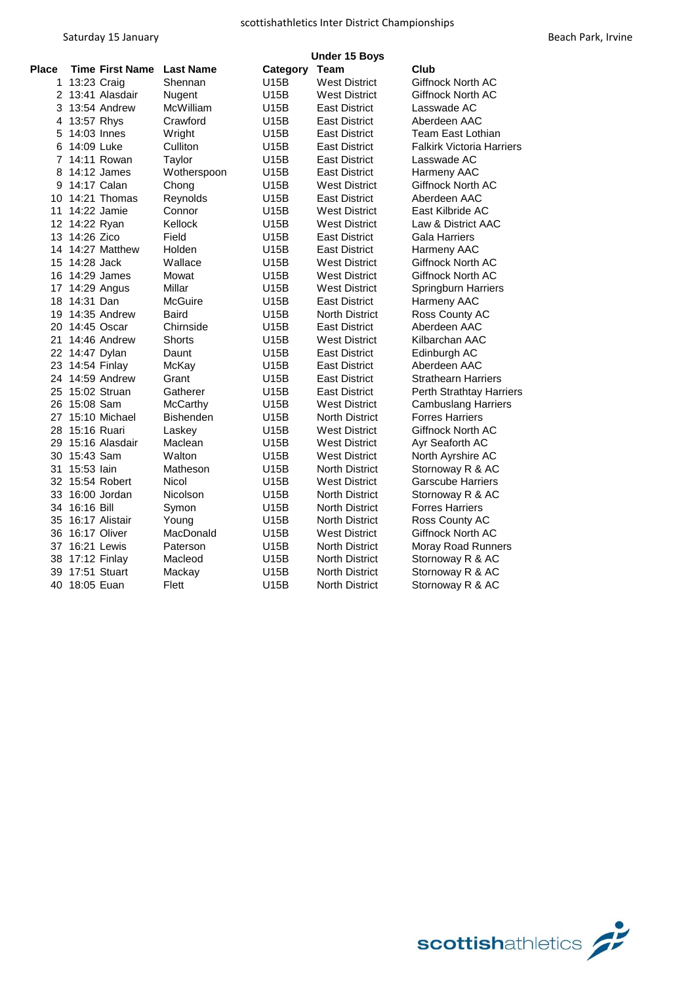|              |                                  | <b>Under 15 Boys</b> |             |                       |                                  |  |  |  |
|--------------|----------------------------------|----------------------|-------------|-----------------------|----------------------------------|--|--|--|
| <b>Place</b> | <b>Time First Name Last Name</b> |                      | Category    | Team                  | Club                             |  |  |  |
| $\mathbf{1}$ | 13:23 Craig                      | Shennan              | U15B        | <b>West District</b>  | Giffnock North AC                |  |  |  |
|              | 2 13:41 Alasdair                 | Nugent               | U15B        | <b>West District</b>  | Giffnock North AC                |  |  |  |
|              | 3 13:54 Andrew                   | McWilliam            | U15B        | <b>East District</b>  | Lasswade AC                      |  |  |  |
|              | 4 13:57 Rhys                     | Crawford             | U15B        | <b>East District</b>  | Aberdeen AAC                     |  |  |  |
| 5            | 14:03 Innes                      | Wright               | U15B        | <b>East District</b>  | Team East Lothian                |  |  |  |
| 6            | 14:09 Luke                       | Culliton             | U15B        | <b>East District</b>  | <b>Falkirk Victoria Harriers</b> |  |  |  |
| 7            | 14:11 Rowan                      | Taylor               | U15B        | <b>East District</b>  | Lasswade AC                      |  |  |  |
| 8            | 14:12 James                      | Wotherspoon          | U15B        | East District         | Harmeny AAC                      |  |  |  |
| 9            | 14:17 Calan                      | Chong                | U15B        | <b>West District</b>  | Giffnock North AC                |  |  |  |
| 10           | 14:21 Thomas                     | Reynolds             | U15B        | <b>East District</b>  | Aberdeen AAC                     |  |  |  |
| 11           | 14:22 Jamie                      | Connor               | U15B        | <b>West District</b>  | East Kilbride AC                 |  |  |  |
|              | 12 14:22 Ryan                    | Kellock              | U15B        | <b>West District</b>  | Law & District AAC               |  |  |  |
|              | 13 14:26 Zico                    | Field                | U15B        | <b>East District</b>  | Gala Harriers                    |  |  |  |
|              | 14 14:27 Matthew                 | Holden               | U15B        | <b>East District</b>  | Harmeny AAC                      |  |  |  |
|              | 15 14:28 Jack                    | Wallace              | <b>U15B</b> | <b>West District</b>  | Giffnock North AC                |  |  |  |
|              | 16 14:29 James                   | Mowat                | U15B        | West District         | Giffnock North AC                |  |  |  |
|              | 17 14:29 Angus                   | Millar               | U15B        | <b>West District</b>  | <b>Springburn Harriers</b>       |  |  |  |
|              | 18 14:31 Dan                     | McGuire              | U15B        | <b>East District</b>  | Harmeny AAC                      |  |  |  |
|              | 19 14:35 Andrew                  | Baird                | U15B        | <b>North District</b> | Ross County AC                   |  |  |  |
|              | 20 14:45 Oscar                   | Chirnside            | U15B        | <b>East District</b>  | Aberdeen AAC                     |  |  |  |
|              | 21 14:46 Andrew                  | Shorts               | U15B        | <b>West District</b>  | Kilbarchan AAC                   |  |  |  |
|              | 22 14:47 Dylan                   | Daunt                | U15B        | <b>East District</b>  | Edinburgh AC                     |  |  |  |
|              | 23 14:54 Finlay                  | McKay                | U15B        | <b>East District</b>  | Aberdeen AAC                     |  |  |  |
|              | 24 14:59 Andrew                  | Grant                | U15B        | <b>East District</b>  | <b>Strathearn Harriers</b>       |  |  |  |
|              | 25 15:02 Struan                  | Gatherer             | U15B        | <b>East District</b>  | Perth Strathtay Harriers         |  |  |  |
|              | 26 15:08 Sam                     | <b>McCarthy</b>      | U15B        | <b>West District</b>  | <b>Cambuslang Harriers</b>       |  |  |  |
|              | 27 15:10 Michael                 | Bishenden            | U15B        | <b>North District</b> | <b>Forres Harriers</b>           |  |  |  |
|              | 28 15:16 Ruari                   | Laskey               | U15B        | <b>West District</b>  | Giffnock North AC                |  |  |  |
|              | 29 15:16 Alasdair                | Maclean              | U15B        | <b>West District</b>  | Ayr Seaforth AC                  |  |  |  |
|              | 30 15:43 Sam                     | Walton               | U15B        | <b>West District</b>  | North Ayrshire AC                |  |  |  |
| 31           | 15:53 Iain                       | Matheson             | U15B        | <b>North District</b> | Stornoway R & AC                 |  |  |  |
|              | 32 15:54 Robert                  | Nicol                | U15B        | <b>West District</b>  | <b>Garscube Harriers</b>         |  |  |  |
|              | 33 16:00 Jordan                  | Nicolson             | U15B        | <b>North District</b> | Stornoway R & AC                 |  |  |  |
|              | 34 16:16 Bill                    | Symon                | U15B        | <b>North District</b> | <b>Forres Harriers</b>           |  |  |  |
|              | 35 16:17 Alistair                | Young                | U15B        | <b>North District</b> | Ross County AC                   |  |  |  |
|              | 36 16:17 Oliver                  | MacDonald            | U15B        | <b>West District</b>  | Giffnock North AC                |  |  |  |
|              | 37 16:21 Lewis                   | Paterson             | U15B        | <b>North District</b> | <b>Moray Road Runners</b>        |  |  |  |
|              | 38 17:12 Finlay                  | Macleod              | U15B        | <b>North District</b> | Stornoway R & AC                 |  |  |  |
|              | 39 17:51 Stuart                  | Mackay               | U15B        | <b>North District</b> | Stornoway R & AC                 |  |  |  |
|              | 40 18:05 Euan                    | Flett                | U15B        | <b>North District</b> | Stornoway R & AC                 |  |  |  |

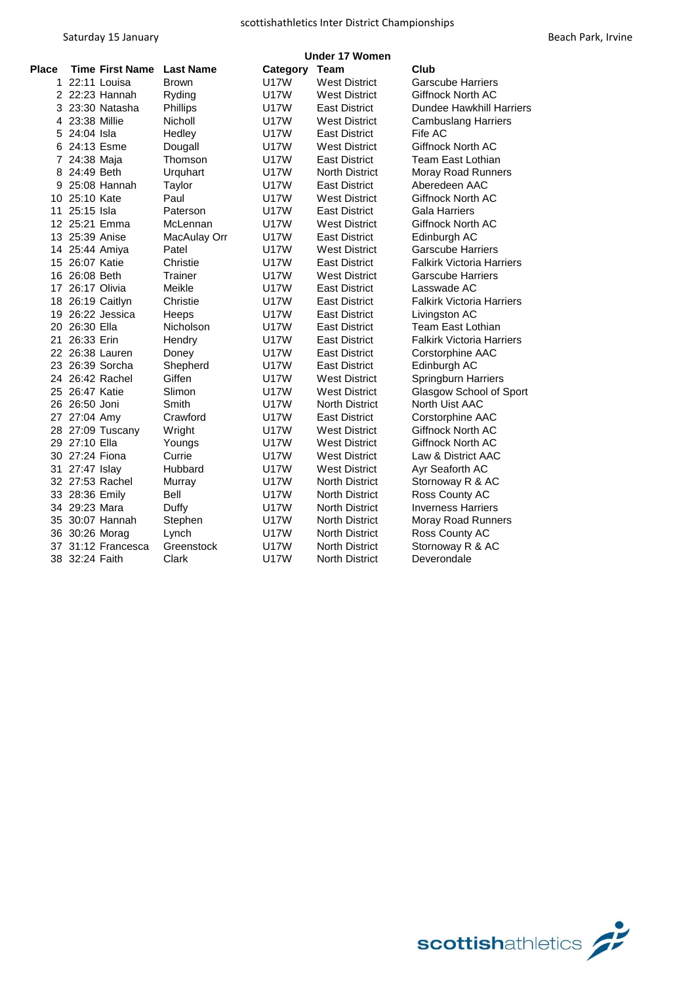|                |                        | <b>Under 17 Women</b> |             |                       |                                  |  |  |  |
|----------------|------------------------|-----------------------|-------------|-----------------------|----------------------------------|--|--|--|
| Place          | <b>Time First Name</b> | <b>Last Name</b>      | Category    | Team                  | Club                             |  |  |  |
| 1              | 22:11 Louisa           | <b>Brown</b>          | <b>U17W</b> | <b>West District</b>  | <b>Garscube Harriers</b>         |  |  |  |
|                | 2 22:23 Hannah         | Ryding                | <b>U17W</b> | <b>West District</b>  | <b>Giffnock North AC</b>         |  |  |  |
|                | 3 23:30 Natasha        | <b>Phillips</b>       | <b>U17W</b> | East District         | <b>Dundee Hawkhill Harriers</b>  |  |  |  |
|                | 4 23:38 Millie         | Nicholl               | <b>U17W</b> | <b>West District</b>  | <b>Cambuslang Harriers</b>       |  |  |  |
|                | 5 24:04 Isla           | Hedley                | <b>U17W</b> | East District         | Fife AC                          |  |  |  |
|                | 6 24:13 Esme           | Dougall               | U17W        | <b>West District</b>  | <b>Giffnock North AC</b>         |  |  |  |
| $\overline{7}$ | 24:38 Maja             | Thomson               | <b>U17W</b> | <b>East District</b>  | Team East Lothian                |  |  |  |
|                | 8 24:49 Beth           | Urquhart              | <b>U17W</b> | <b>North District</b> | Moray Road Runners               |  |  |  |
|                | 9 25:08 Hannah         | Taylor                | <b>U17W</b> | East District         | Aberedeen AAC                    |  |  |  |
| 10             | 25:10 Kate             | Paul                  | U17W        | <b>West District</b>  | <b>Giffnock North AC</b>         |  |  |  |
| 11             | 25:15 Isla             | Paterson              | <b>U17W</b> | East District         | Gala Harriers                    |  |  |  |
|                | 12 25:21 Emma          | McLennan              | <b>U17W</b> | <b>West District</b>  | Giffnock North AC                |  |  |  |
|                | 13 25:39 Anise         | MacAulay Orr          | <b>U17W</b> | East District         | Edinburgh AC                     |  |  |  |
|                | 14 25:44 Amiya         | Patel                 | <b>U17W</b> | <b>West District</b>  | <b>Garscube Harriers</b>         |  |  |  |
|                | 15 26:07 Katie         | Christie              | <b>U17W</b> | East District         | <b>Falkirk Victoria Harriers</b> |  |  |  |
|                | 16 26:08 Beth          | Trainer               | <b>U17W</b> | <b>West District</b>  | Garscube Harriers                |  |  |  |
|                | 17 26:17 Olivia        | Meikle                | <b>U17W</b> | <b>East District</b>  | Lasswade AC                      |  |  |  |
|                | 18 26:19 Caitlyn       | Christie              | <b>U17W</b> | East District         | <b>Falkirk Victoria Harriers</b> |  |  |  |
|                | 19 26:22 Jessica       | Heeps                 | <b>U17W</b> | <b>East District</b>  | Livingston AC                    |  |  |  |
|                | 20 26:30 Ella          | Nicholson             | <b>U17W</b> | East District         | Team East Lothian                |  |  |  |
|                | 21 26:33 Erin          | Hendry                | <b>U17W</b> | <b>East District</b>  | <b>Falkirk Victoria Harriers</b> |  |  |  |
|                | 22 26:38 Lauren        | Doney                 | <b>U17W</b> | <b>East District</b>  | Corstorphine AAC                 |  |  |  |
|                | 23 26:39 Sorcha        | Shepherd              | U17W        | East District         | Edinburgh AC                     |  |  |  |
|                | 24 26:42 Rachel        | Giffen                | U17W        | <b>West District</b>  | Springburn Harriers              |  |  |  |
|                | 25 26:47 Katie         | Slimon                | <b>U17W</b> | West District         | Glasgow School of Sport          |  |  |  |
|                | 26 26:50 Joni          | Smith                 | <b>U17W</b> | <b>North District</b> | North Uist AAC                   |  |  |  |
|                | 27 27:04 Amy           | Crawford              | U17W        | East District         | Corstorphine AAC                 |  |  |  |
|                | 28 27:09 Tuscany       | Wright                | <b>U17W</b> | <b>West District</b>  | Giffnock North AC                |  |  |  |
|                | 29 27:10 Ella          | Youngs                | U17W        | <b>West District</b>  | <b>Giffnock North AC</b>         |  |  |  |
|                | 30 27:24 Fiona         | Currie                | <b>U17W</b> | <b>West District</b>  | Law & District AAC               |  |  |  |
|                | 31 27:47 Islay         | Hubbard               | <b>U17W</b> | <b>West District</b>  | Ayr Seaforth AC                  |  |  |  |
|                | 32 27:53 Rachel        | Murray                | <b>U17W</b> | <b>North District</b> | Stornoway R & AC                 |  |  |  |
|                | 33 28:36 Emily         | Bell                  | <b>U17W</b> | <b>North District</b> | Ross County AC                   |  |  |  |
|                | 34 29:23 Mara          | Duffy                 | <b>U17W</b> | <b>North District</b> | <b>Inverness Harriers</b>        |  |  |  |
|                | 35 30:07 Hannah        | Stephen               | <b>U17W</b> | <b>North District</b> | <b>Moray Road Runners</b>        |  |  |  |
|                | 36 30:26 Morag         | Lynch                 | <b>U17W</b> | <b>North District</b> | Ross County AC                   |  |  |  |
|                | 37 31:12 Francesca     | Greenstock            | <b>U17W</b> | <b>North District</b> | Stornoway R & AC                 |  |  |  |
|                | 38 32:24 Faith         | Clark                 | <b>U17W</b> | <b>North District</b> | Deverondale                      |  |  |  |

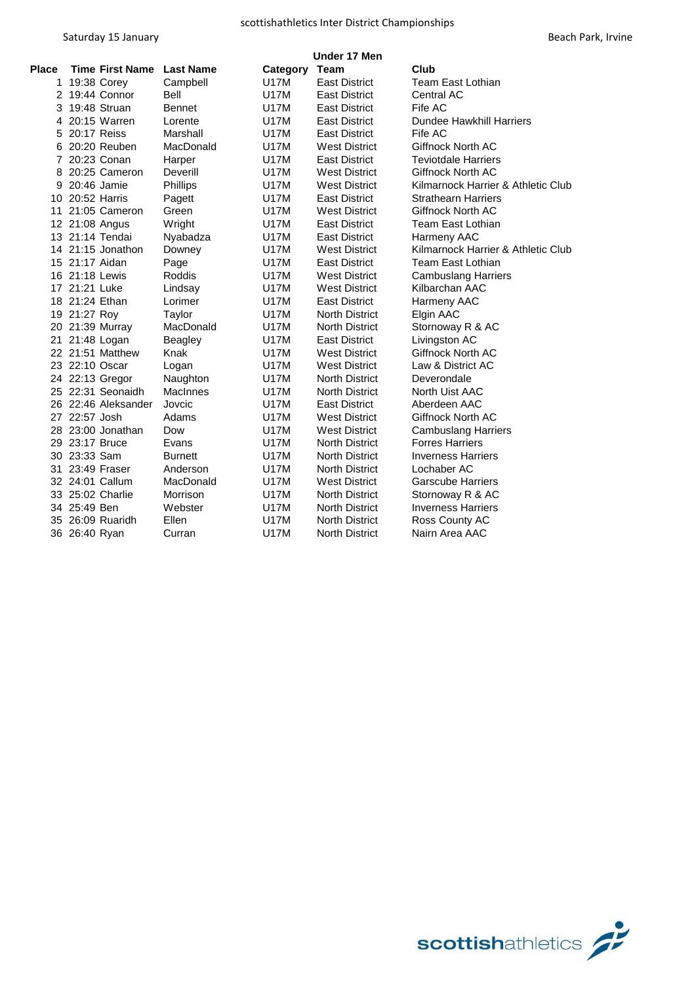|              | Under 17 Men           |                  |             |                       |                                    |  |
|--------------|------------------------|------------------|-------------|-----------------------|------------------------------------|--|
| <b>Place</b> | <b>Time First Name</b> | <b>Last Name</b> | Category    | <b>Team</b>           | Club                               |  |
|              | 1 19:38 Corey          | Campbell         | <b>U17M</b> | <b>East District</b>  | <b>Team East Lothian</b>           |  |
|              | 2 19:44 Connor         | Bell             | U17M        | <b>East District</b>  | <b>Central AC</b>                  |  |
|              | 3 19:48 Struan         | <b>Bennet</b>    | U17M        | <b>East District</b>  | Fife AC                            |  |
|              | 4 20:15 Warren         | Lorente          | U17M        | <b>East District</b>  | <b>Dundee Hawkhill Harriers</b>    |  |
| 5            | 20:17 Reiss            | Marshall         | U17M        | <b>East District</b>  | Fife AC                            |  |
| 6            | 20:20 Reuben           | MacDonald        | U17M        | <b>West District</b>  | Giffnock North AC                  |  |
| 7            | 20:23 Conan            | Harper           | U17M        | <b>East District</b>  | <b>Teviotdale Harriers</b>         |  |
| 8            | 20:25 Cameron          | Deverill         | U17M        | <b>West District</b>  | Giffnock North AC                  |  |
| 9            | 20:46 Jamie            | Phillips         | U17M        | <b>West District</b>  | Kilmarnock Harrier & Athletic Club |  |
|              | 10 20:52 Harris        | Pagett           | U17M        | <b>East District</b>  | <b>Strathearn Harriers</b>         |  |
|              | 11 21:05 Cameron       | Green            | U17M        | <b>West District</b>  | Giffnock North AC                  |  |
|              | 12 21:08 Angus         | Wright           | U17M        | <b>East District</b>  | Team East Lothian                  |  |
|              | 13 21:14 Tendai        | Nyabadza         | U17M        | <b>East District</b>  | Harmeny AAC                        |  |
|              | 14 21:15 Jonathon      | Downey           | U17M        | <b>West District</b>  | Kilmarnock Harrier & Athletic Club |  |
|              | 15 21:17 Aidan         | Page             | U17M        | <b>East District</b>  | Team East Lothian                  |  |
|              | 16 21:18 Lewis         | Roddis           | U17M        | <b>West District</b>  | <b>Cambuslang Harriers</b>         |  |
|              | 17 21:21 Luke          | Lindsay          | U17M        | <b>West District</b>  | Kilbarchan AAC                     |  |
|              | 18 21:24 Ethan         | Lorimer          | U17M        | <b>East District</b>  | Harmeny AAC                        |  |
|              | 19 21:27 Roy           | Taylor           | U17M        | <b>North District</b> | Elgin AAC                          |  |
|              | 20 21:39 Murray        | MacDonald        | U17M        | <b>North District</b> | Stornoway R & AC                   |  |
|              | 21 21:48 Logan         | <b>Beagley</b>   | U17M        | <b>East District</b>  | Livingston AC                      |  |
|              | 22 21:51 Matthew       | Knak             | U17M        | <b>West District</b>  | Giffnock North AC                  |  |
|              | 23 22:10 Oscar         | Logan            | U17M        | <b>West District</b>  | Law & District AC                  |  |
|              | 24 22:13 Gregor        | Naughton         | U17M        | <b>North District</b> | Deverondale                        |  |
|              | 25 22:31 Seonaidh      | <b>MacInnes</b>  | U17M        | <b>North District</b> | North Uist AAC                     |  |
|              | 26 22:46 Aleksander    | Jovcic           | U17M        | <b>East District</b>  | Aberdeen AAC                       |  |
|              | 27 22:57 Josh          | Adams            | U17M        | <b>West District</b>  | Giffnock North AC                  |  |
|              | 28 23:00 Jonathan      | Dow              | U17M        | <b>West District</b>  | <b>Cambuslang Harriers</b>         |  |
|              | 29 23:17 Bruce         | Evans            | U17M        | <b>North District</b> | <b>Forres Harriers</b>             |  |
|              | 30 23:33 Sam           | <b>Burnett</b>   | U17M        | <b>North District</b> | <b>Inverness Harriers</b>          |  |
|              | 31 23:49 Fraser        | Anderson         | U17M        | <b>North District</b> | Lochaber AC                        |  |
|              | 32 24:01 Callum        | MacDonald        | U17M        | <b>West District</b>  | <b>Garscube Harriers</b>           |  |
|              | 33 25:02 Charlie       | Morrison         | U17M        | <b>North District</b> | Stornoway R & AC                   |  |
|              | 34 25:49 Ben           | Webster          | U17M        | <b>North District</b> | <b>Inverness Harriers</b>          |  |
|              | 35 26:09 Ruaridh       | Ellen            | U17M        | <b>North District</b> | Ross County AC                     |  |
|              | 36 26:40 Ryan          | Curran           | U17M        | <b>North District</b> | Nairn Area AAC                     |  |
|              |                        |                  |             |                       |                                    |  |

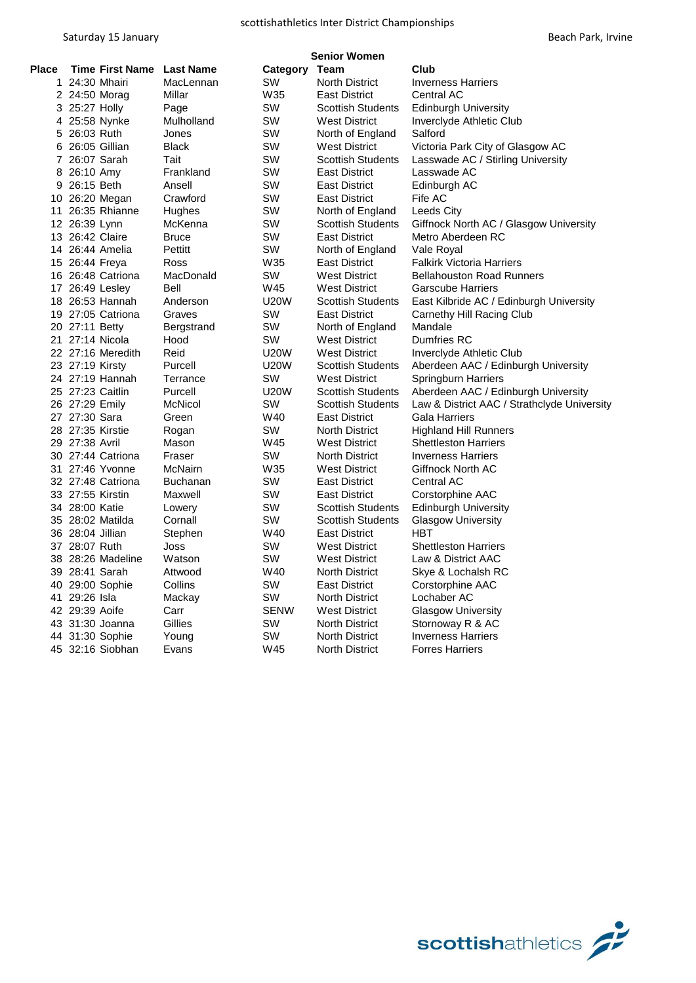|       | <b>Senior Women</b>       |                 |             |                          |                                             |  |  |  |
|-------|---------------------------|-----------------|-------------|--------------------------|---------------------------------------------|--|--|--|
| Place | Time First Name Last Name |                 | Category    | Team                     | Club                                        |  |  |  |
|       | 1 24:30 Mhairi            | MacLennan       | SW          | <b>North District</b>    | <b>Inverness Harriers</b>                   |  |  |  |
|       | 2 24:50 Morag             | Millar          | W35         | <b>East District</b>     | <b>Central AC</b>                           |  |  |  |
|       | 3 25:27 Holly             | Page            | SW          | <b>Scottish Students</b> | <b>Edinburgh University</b>                 |  |  |  |
|       | 4 25:58 Nynke             | Mulholland      | SW          | <b>West District</b>     | Inverclyde Athletic Club                    |  |  |  |
|       | 5 26:03 Ruth              | Jones           | sw          | North of England         | Salford                                     |  |  |  |
|       | 6 26:05 Gillian           | <b>Black</b>    | SW          | <b>West District</b>     | Victoria Park City of Glasgow AC            |  |  |  |
|       | 7 26:07 Sarah             | Tait            | SW          | <b>Scottish Students</b> | Lasswade AC / Stirling University           |  |  |  |
|       | 8 26:10 Amy               | Frankland       | SW          | <b>East District</b>     | Lasswade AC                                 |  |  |  |
|       | 9 26:15 Beth              | Ansell          | SW          | <b>East District</b>     | Edinburgh AC                                |  |  |  |
|       | 10 26:20 Megan            | Crawford        | sw          | <b>East District</b>     | Fife AC                                     |  |  |  |
| 11    | 26:35 Rhianne             | Hughes          | SW          | North of England         | Leeds City                                  |  |  |  |
|       | 12 26:39 Lynn             | McKenna         | SW          | <b>Scottish Students</b> | Giffnock North AC / Glasgow University      |  |  |  |
|       | 13 26:42 Claire           | <b>Bruce</b>    | SW          | <b>East District</b>     | Metro Aberdeen RC                           |  |  |  |
|       | 14 26:44 Amelia           | Pettitt         | SW          | North of England         | Vale Royal                                  |  |  |  |
|       | 15 26:44 Freya            | Ross            | W35         | <b>East District</b>     | <b>Falkirk Victoria Harriers</b>            |  |  |  |
|       | 16 26:48 Catriona         | MacDonald       | SW          | <b>West District</b>     | <b>Bellahouston Road Runners</b>            |  |  |  |
|       | 17 26:49 Lesley           | <b>Bell</b>     | W45         | <b>West District</b>     | <b>Garscube Harriers</b>                    |  |  |  |
|       | 18 26:53 Hannah           | Anderson        | <b>U20W</b> | <b>Scottish Students</b> | East Kilbride AC / Edinburgh University     |  |  |  |
|       | 19 27:05 Catriona         | Graves          | SW          | <b>East District</b>     | Carnethy Hill Racing Club                   |  |  |  |
|       | 20 27:11 Betty            | Bergstrand      | SW          | North of England         | Mandale                                     |  |  |  |
|       | 21 27:14 Nicola           | Hood            | SW          | <b>West District</b>     | Dumfries RC                                 |  |  |  |
|       | 22 27:16 Meredith         | Reid            | U20W        | <b>West District</b>     | Inverclyde Athletic Club                    |  |  |  |
|       | 23 27:19 Kirsty           | Purcell         | <b>U20W</b> | <b>Scottish Students</b> | Aberdeen AAC / Edinburgh University         |  |  |  |
|       | 24 27:19 Hannah           | Terrance        | SW          | <b>West District</b>     | Springburn Harriers                         |  |  |  |
|       | 25 27:23 Caitlin          | Purcell         | <b>U20W</b> | <b>Scottish Students</b> | Aberdeen AAC / Edinburgh University         |  |  |  |
|       | 26 27:29 Emily            | McNicol         | SW          | <b>Scottish Students</b> | Law & District AAC / Strathclyde University |  |  |  |
|       | 27 27:30 Sara             | Green           | W40         | <b>East District</b>     | <b>Gala Harriers</b>                        |  |  |  |
|       | 28 27:35 Kirstie          | Rogan           | SW          | <b>North District</b>    | <b>Highland Hill Runners</b>                |  |  |  |
|       | 29 27:38 Avril            | Mason           | W45         | West District            | <b>Shettleston Harriers</b>                 |  |  |  |
|       | 30 27:44 Catriona         | Fraser          | SW          | North District           | <b>Inverness Harriers</b>                   |  |  |  |
|       | 31 27:46 Yvonne           | McNairn         | W35         | <b>West District</b>     | Giffnock North AC                           |  |  |  |
|       | 32 27:48 Catriona         | <b>Buchanan</b> | SW          | <b>East District</b>     | <b>Central AC</b>                           |  |  |  |
|       | 33 27:55 Kirstin          | Maxwell         | SW          | <b>East District</b>     | Corstorphine AAC                            |  |  |  |
|       | 34 28:00 Katie            | Lowery          | SW          | <b>Scottish Students</b> | <b>Edinburgh University</b>                 |  |  |  |
|       | 35 28:02 Matilda          | Cornall         | SW          | <b>Scottish Students</b> | <b>Glasgow University</b>                   |  |  |  |
|       | 36 28:04 Jillian          | Stephen         | W40         | <b>East District</b>     | HBT                                         |  |  |  |
|       | 37 28:07 Ruth             | Joss            | SW          | <b>West District</b>     | <b>Shettleston Harriers</b>                 |  |  |  |
|       | 38 28:26 Madeline         | Watson          | SW          | <b>West District</b>     | Law & District AAC                          |  |  |  |
|       | 39 28:41 Sarah            | Attwood         | W40         | <b>North District</b>    | Skye & Lochalsh RC                          |  |  |  |
|       | 40 29:00 Sophie           | Collins         | SW          | <b>East District</b>     | Corstorphine AAC                            |  |  |  |
|       | 41 29:26 Isla             | Mackay          | SW          | North District           | Lochaber AC                                 |  |  |  |
|       | 42 29:39 Aoife            | Carr            | <b>SENW</b> | <b>West District</b>     | <b>Glasgow University</b>                   |  |  |  |
|       | 43 31:30 Joanna           | Gillies         | SW          | <b>North District</b>    | Stornoway R & AC                            |  |  |  |
|       | 44 31:30 Sophie           | Young           | SW          | <b>North District</b>    | <b>Inverness Harriers</b>                   |  |  |  |
|       | 45 32:16 Siobhan          | Evans           | W45         | North District           | <b>Forres Harriers</b>                      |  |  |  |
|       |                           |                 |             |                          |                                             |  |  |  |

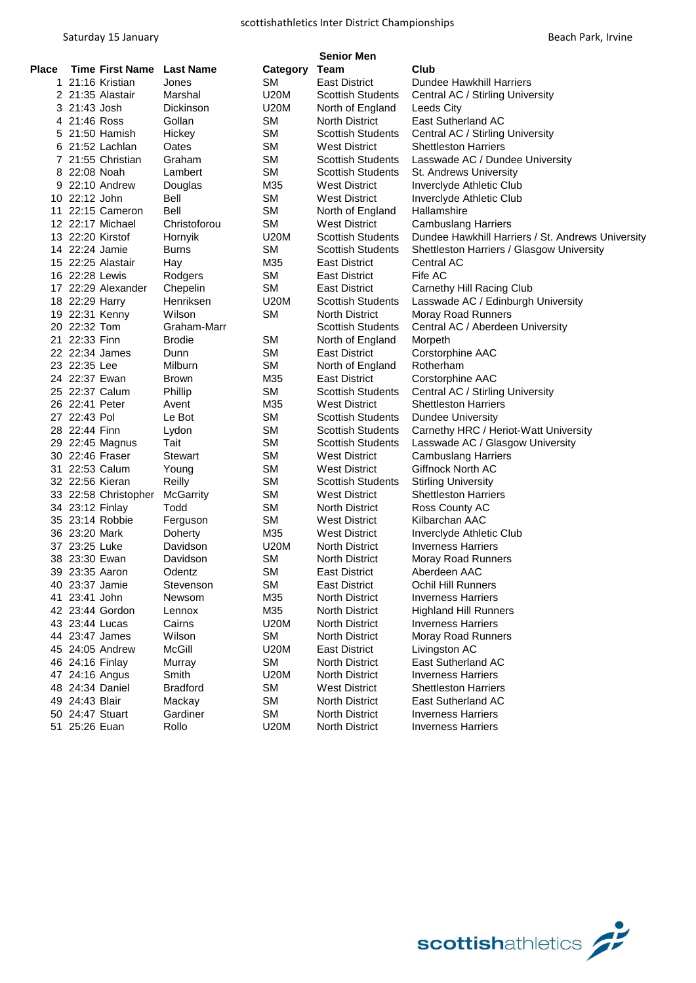|       |                           |                  |             | <b>Senior Men</b>        |                                                   |
|-------|---------------------------|------------------|-------------|--------------------------|---------------------------------------------------|
| Place | Time First Name Last Name |                  | Category    | Team                     | Club                                              |
|       | 1 21:16 Kristian          | Jones            | SM          | East District            | Dundee Hawkhill Harriers                          |
|       | 2 21:35 Alastair          | Marshal          | <b>U20M</b> | <b>Scottish Students</b> | Central AC / Stirling University                  |
|       | 3 21:43 Josh              | Dickinson        | <b>U20M</b> | North of England         | Leeds City                                        |
|       | 4 21:46 Ross              | Gollan           | SМ          | <b>North District</b>    | <b>East Sutherland AC</b>                         |
|       | 5 21:50 Hamish            | Hickey           | SM          | <b>Scottish Students</b> | Central AC / Stirling University                  |
|       | 6 21:52 Lachlan           | Oates            | <b>SM</b>   | <b>West District</b>     | <b>Shettleston Harriers</b>                       |
|       | 7 21:55 Christian         | Graham           | SМ          | <b>Scottish Students</b> | Lasswade AC / Dundee University                   |
|       | 8 22:08 Noah              | Lambert          | <b>SM</b>   | <b>Scottish Students</b> | St. Andrews University                            |
|       | 9 22:10 Andrew            | Douglas          | M35         | <b>West District</b>     | Inverclyde Athletic Club                          |
|       | 10 22:12 John             | Bell             | SM          | <b>West District</b>     | Inverclyde Athletic Club                          |
|       | 11 22:15 Cameron          | Bell             | SМ          | North of England         | Hallamshire                                       |
|       | 12 22:17 Michael          | Christoforou     | <b>SM</b>   | <b>West District</b>     | <b>Cambuslang Harriers</b>                        |
|       | 13 22:20 Kirstof          | Hornyik          | <b>U20M</b> | <b>Scottish Students</b> | Dundee Hawkhill Harriers / St. Andrews University |
|       | 14 22:24 Jamie            | Burns            | <b>SM</b>   | <b>Scottish Students</b> | Shettleston Harriers / Glasgow University         |
|       | 15 22:25 Alastair         | Hay              | M35         | <b>East District</b>     | Central AC                                        |
|       | 16 22:28 Lewis            | Rodgers          | SM          | East District            | Fife AC                                           |
|       | 17 22:29 Alexander        | Chepelin         | <b>SM</b>   | East District            | Carnethy Hill Racing Club                         |
|       | 18 22:29 Harry            | Henriksen        | <b>U20M</b> | <b>Scottish Students</b> | Lasswade AC / Edinburgh University                |
|       | 19 22:31 Kenny            | Wilson           | <b>SM</b>   | North District           | Moray Road Runners                                |
|       | 20 22:32 Tom              | Graham-Marr      |             | <b>Scottish Students</b> | Central AC / Aberdeen University                  |
|       | 21 22:33 Finn             | <b>Brodie</b>    | <b>SM</b>   | North of England         | Morpeth                                           |
|       | 22 22:34 James            | Dunn             | <b>SM</b>   | <b>East District</b>     | Corstorphine AAC                                  |
|       | 23 22:35 Lee              | Milburn          | <b>SM</b>   | North of England         | Rotherham                                         |
|       | 24 22:37 Ewan             | <b>Brown</b>     | M35         | <b>East District</b>     | Corstorphine AAC                                  |
|       | 25 22:37 Calum            | Phillip          | <b>SM</b>   | <b>Scottish Students</b> | Central AC / Stirling University                  |
|       | 26 22:41 Peter            | Avent            | M35         | West District            | <b>Shettleston Harriers</b>                       |
|       | 27 22:43 Pol              | Le Bot           | <b>SM</b>   | <b>Scottish Students</b> | <b>Dundee University</b>                          |
|       | 28 22:44 Finn             | Lydon            | <b>SM</b>   | <b>Scottish Students</b> | Carnethy HRC / Heriot-Watt University             |
|       | 29 22:45 Magnus           | Tait             | SМ          | <b>Scottish Students</b> | Lasswade AC / Glasgow University                  |
|       | 30 22:46 Fraser           | Stewart          | SM          | <b>West District</b>     | <b>Cambuslang Harriers</b>                        |
|       | 31 22:53 Calum            | Young            | <b>SM</b>   | <b>West District</b>     | Giffnock North AC                                 |
|       | 32 22:56 Kieran           | Reilly           | SМ          | <b>Scottish Students</b> | <b>Stirling University</b>                        |
|       | 33 22:58 Christopher      | <b>McGarrity</b> | <b>SM</b>   | West District            | <b>Shettleston Harriers</b>                       |
|       | 34 23:12 Finlay           | Todd             | <b>SM</b>   | <b>North District</b>    | Ross County AC                                    |
|       | 35 23:14 Robbie           | Ferguson         | SM          | West District            | Kilbarchan AAC                                    |
|       | 36 23:20 Mark             | Doherty          | M35         | West District            | Inverclyde Athletic Club                          |
|       | 37 23:25 Luke             | Davidson         | <b>U20M</b> | North District           | <b>Inverness Harriers</b>                         |
|       | 38 23:30 Ewan             | Davidson         | <b>SM</b>   | North District           | <b>Moray Road Runners</b>                         |
|       | 39 23:35 Aaron            | Odentz           | <b>SM</b>   | East District            | Aberdeen AAC                                      |
|       | 40 23:37 Jamie            | Stevenson        | <b>SM</b>   | <b>East District</b>     | Ochil Hill Runners                                |
|       | 41 23:41 John             | Newsom           | M35         | North District           | <b>Inverness Harriers</b>                         |
|       | 42 23:44 Gordon           | Lennox           | M35         | <b>North District</b>    | <b>Highland Hill Runners</b>                      |
|       | 43 23:44 Lucas            | Cairns           | <b>U20M</b> | <b>North District</b>    | <b>Inverness Harriers</b>                         |
|       | 44 23:47 James            | Wilson           | SM          | <b>North District</b>    | Moray Road Runners                                |
|       | 45 24:05 Andrew           | McGill           | <b>U20M</b> | <b>East District</b>     | Livingston AC                                     |
|       | 46 24:16 Finlay           | Murray           | <b>SM</b>   | <b>North District</b>    | East Sutherland AC                                |
|       | 47 24:16 Angus            | Smith            | <b>U20M</b> | <b>North District</b>    | <b>Inverness Harriers</b>                         |
|       | 48 24:34 Daniel           | <b>Bradford</b>  | <b>SM</b>   | <b>West District</b>     | <b>Shettleston Harriers</b>                       |
|       | 49 24:43 Blair            | Mackay           | <b>SM</b>   | <b>North District</b>    | <b>East Sutherland AC</b>                         |
|       | 50 24:47 Stuart           | Gardiner         | <b>SM</b>   | <b>North District</b>    | <b>Inverness Harriers</b>                         |
|       | 51 25:26 Euan             | Rollo            | U20M        | North District           | <b>Inverness Harriers</b>                         |
|       |                           |                  |             |                          |                                                   |